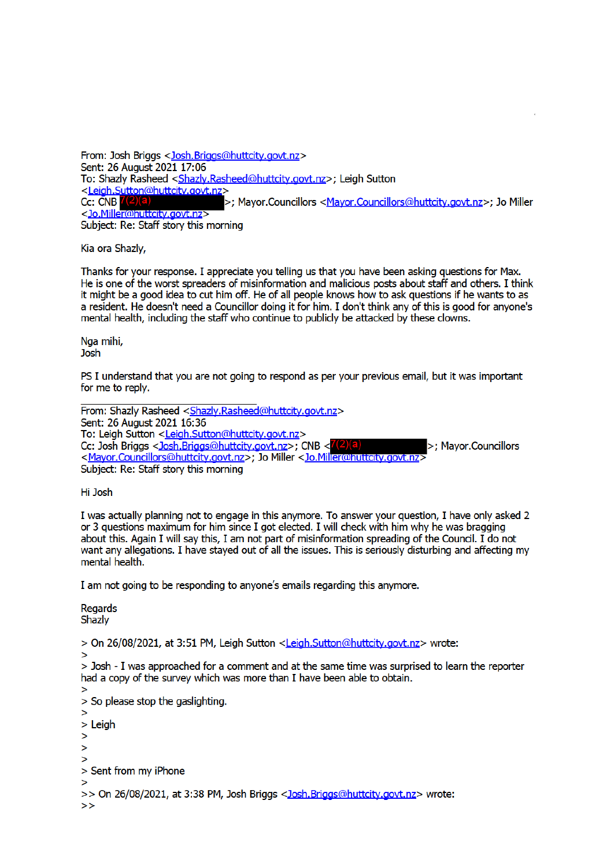From: Josh Briggs < Josh.Briggs@huttcity.govt.nz> Sent: 26 August 2021 17:06 To: Shazly Rasheed <Shazly.Rasheed@huttcity.govt.nz>; Leigh Sutton <Leigh.Sutton@huttcity.govt.nz> >; Mayor.Councillors <Mayor.Councillors@huttcity.govt.nz>; Jo Miller Cc: CNB  $7(2)$ (a <Jo.Miller@huttcity.govt.nz> Subject: Re: Staff story this morning

Kia ora Shazly,

Thanks for your response. I appreciate you telling us that you have been asking questions for Max. He is one of the worst spreaders of misinformation and malicious posts about staff and others. I think it might be a good idea to cut him off. He of all people knows how to ask questions if he wants to as a resident. He doesn't need a Councillor doing it for him. I don't think any of this is good for anyone's mental health, including the staff who continue to publicly be attacked by these clowns.

Naa mihi, Josh

PS I understand that you are not going to respond as per your previous email, but it was important for me to reply.

From: Shazly Rasheed <Shazly.Rasheed@huttcity.govt.nz> Sent: 26 August 2021 16:36 To: Leigh Sutton <Leigh.Sutton@huttcity.govt.nz> Cc: Josh Briggs < Josh.Briggs@huttcity.govt.nz>; CNB < 7(2)(a)<br>< Mayor.Councillors@huttcity.govt.nz>; Jo Miller < Jo.Miller@huttcity.govt.nz> >: Mavor.Councillors Subject: Re: Staff story this morning

Hi Josh

I was actually planning not to engage in this anymore. To answer your question, I have only asked 2 or 3 questions maximum for him since I got elected. I will check with him why he was bragging about this. Again I will say this, I am not part of misinformation spreading of the Council. I do not want any allegations. I have stayed out of all the issues. This is seriously disturbing and affecting my mental health.

I am not going to be responding to anyone's emails regarding this anymore.

**Regards** Shazlv

> On 26/08/2021, at 3:51 PM, Leigh Sutton <Leigh.Sutton@huttcity.govt.nz> wrote:

 $\mathbf{z}$ 

> Josh - I was approached for a comment and at the same time was surprised to learn the reporter had a copy of the survey which was more than I have been able to obtain.

```
\geq> So please stop the gaslighting.
\geq> Leigh
\geq\geq\mathbf{z}> Sent from my iPhone
\geq
```

```
>> On 26/08/2021, at 3:38 PM, Josh Briggs < Josh.Briggs@huttcity.govt.nz> wrote:
```

```
\rightarrow
```